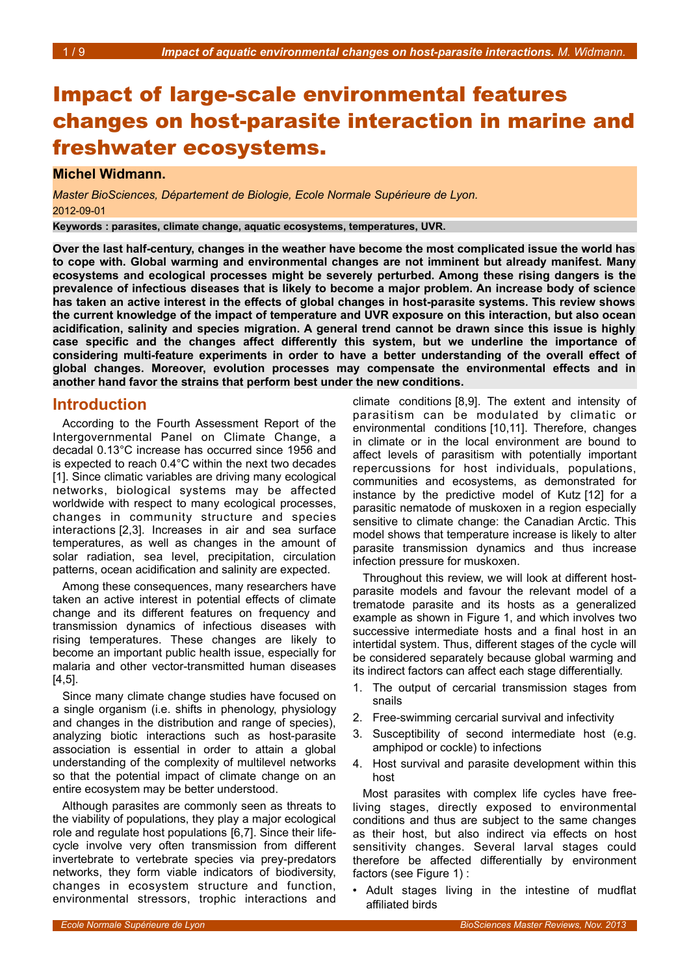# Impact of large-scale environmental features changes on host-parasite interaction in marine and freshwater ecosystems.

### **Michel Widmann.**

*Master BioSciences, Département de Biologie, Ecole Normale Supérieure de Lyon.* 2012-09-01

**Keywords : parasites, climate change, aquatic ecosystems, temperatures, UVR.**

**Over the last half-century, changes in the weather have become the most complicated issue the world has to cope with. Global warming and environmental changes are not imminent but already manifest. Many ecosystems and ecological processes might be severely perturbed. Among these rising dangers is the prevalence of infectious diseases that is likely to become a major problem. An increase body of science has taken an active interest in the effects of global changes in host-parasite systems. This review shows the current knowledge of the impact of temperature and UVR exposure on this interaction, but also ocean acidification, salinity and species migration. A general trend cannot be drawn since this issue is highly case specific and the changes affect differently this system, but we underline the importance of considering multi-feature experiments in order to have a better understanding of the overall effect of global changes. Moreover, evolution processes may compensate the environmental effects and in another hand favor the strains that perform best under the new conditions.**

### **Introduction**

According to the Fourth Assessment Report of the Intergovernmental Panel on Climate Change, a decadal 0.13°C increase has occurred since 1956 and is expected to reach 0.4°C within the next two decades [1]. Since climatic variables are driving many ecological networks, biological systems may be affected worldwide with respect to many ecological processes, changes in community structure and species interactions [2,3]. Increases in air and sea surface temperatures, as well as changes in the amount of solar radiation, sea level, precipitation, circulation patterns, ocean acidification and salinity are expected.

Among these consequences, many researchers have taken an active interest in potential effects of climate change and its different features on frequency and transmission dynamics of infectious diseases with rising temperatures. These changes are likely to become an important public health issue, especially for malaria and other vector-transmitted human diseases [4,5].

Since many climate change studies have focused on a single organism (i.e. shifts in phenology, physiology and changes in the distribution and range of species), analyzing biotic interactions such as host-parasite association is essential in order to attain a global understanding of the complexity of multilevel networks so that the potential impact of climate change on an entire ecosystem may be better understood.

Although parasites are commonly seen as threats to the viability of populations, they play a major ecological role and regulate host populations [6,7]. Since their lifecycle involve very often transmission from different invertebrate to vertebrate species via prey-predators networks, they form viable indicators of biodiversity, changes in ecosystem structure and function, environmental stressors, trophic interactions and

climate conditions [8,9]. The extent and intensity of parasitism can be modulated by climatic or environmental conditions [10,11]. Therefore, changes in climate or in the local environment are bound to affect levels of parasitism with potentially important repercussions for host individuals, populations, communities and ecosystems, as demonstrated for instance by the predictive model of Kutz [12] for a parasitic nematode of muskoxen in a region especially sensitive to climate change: the Canadian Arctic. This model shows that temperature increase is likely to alter parasite transmission dynamics and thus increase infection pressure for muskoxen.

Throughout this review, we will look at different hostparasite models and favour the relevant model of a trematode parasite and its hosts as a generalized example as shown in Figure [1,](#page-1-0) and which involves two successive intermediate hosts and a final host in an intertidal system. Thus, different stages of the cycle will be considered separately because global warming and its indirect factors can affect each stage differentially.

- 1. The output of cercarial transmission stages from snails
- 2. Free-swimming cercarial survival and infectivity
- 3. Susceptibility of second intermediate host (e.g. amphipod or cockle) to infections
- 4. Host survival and parasite development within this host

Most parasites with complex life cycles have freeliving stages, directly exposed to environmental conditions and thus are subject to the same changes as their host, but also indirect via effects on host sensitivity changes. Several larval stages could therefore be affected differentially by environment factors (see Figure [1\)](#page-1-0) :

• Adult stages living in the intestine of mudflat affiliated birds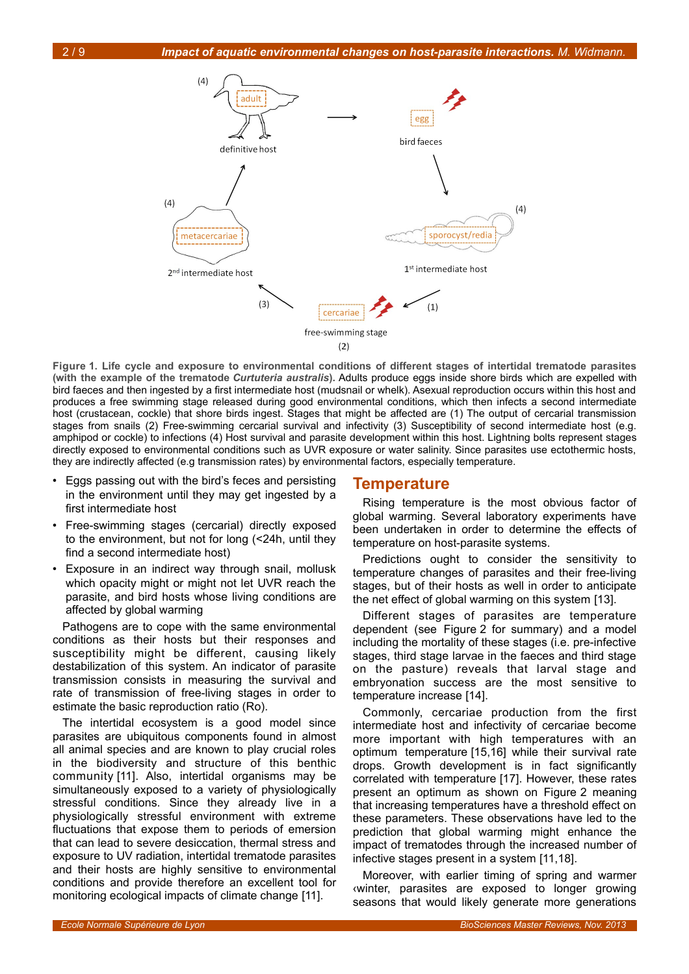

<span id="page-1-0"></span>**Figure 1. Life cycle and exposure to environmental conditions of different stages of intertidal trematode parasites (with the example of the trematode** *Curtuteria australis***).** Adults produce eggs inside shore birds which are expelled with bird faeces and then ingested by a first intermediate host (mudsnail or whelk). Asexual reproduction occurs within this host and produces a free swimming stage released during good environmental conditions, which then infects a second intermediate host (crustacean, cockle) that shore birds ingest. Stages that might be affected are (1) The output of cercarial transmission stages from snails (2) Free-swimming cercarial survival and infectivity (3) Susceptibility of second intermediate host (e.g. amphipod or cockle) to infections (4) Host survival and parasite development within this host. Lightning bolts represent stages directly exposed to environmental conditions such as UVR exposure or water salinity. Since parasites use ectothermic hosts, they are indirectly affected (e.g transmission rates) by environmental factors, especially temperature.

- Eggs passing out with the bird's feces and persisting in the environment until they may get ingested by a first intermediate host
- Free-swimming stages (cercarial) directly exposed to the environment, but not for long (<24h, until they find a second intermediate host)
- Exposure in an indirect way through snail, mollusk which opacity might or might not let UVR reach the parasite, and bird hosts whose living conditions are affected by global warming

Pathogens are to cope with the same environmental conditions as their hosts but their responses and susceptibility might be different, causing likely destabilization of this system. An indicator of parasite transmission consists in measuring the survival and rate of transmission of free-living stages in order to estimate the basic reproduction ratio (Ro).

The intertidal ecosystem is a good model since parasites are ubiquitous components found in almost all animal species and are known to play crucial roles in the biodiversity and structure of this benthic community [11]. Also, intertidal organisms may be simultaneously exposed to a variety of physiologically stressful conditions. Since they already live in a physiologically stressful environment with extreme fluctuations that expose them to periods of emersion that can lead to severe desiccation, thermal stress and exposure to UV radiation, intertidal trematode parasites and their hosts are highly sensitive to environmental conditions and provide therefore an excellent tool for monitoring ecological impacts of climate change [11].

### **Temperature**

Rising temperature is the most obvious factor of global warming. Several laboratory experiments have been undertaken in order to determine the effects of temperature on host-parasite systems.

Predictions ought to consider the sensitivity to temperature changes of parasites and their free-living stages, but of their hosts as well in order to anticipate the net effect of global warming on this system [13].

Different stages of parasites are temperature dependent (see Figure [2](#page-2-0) for summary) and a model including the mortality of these stages (i.e. pre-infective stages, third stage larvae in the faeces and third stage on the pasture) reveals that larval stage and embryonation success are the most sensitive to temperature increase [14].

Commonly, cercariae production from the first intermediate host and infectivity of cercariae become more important with high temperatures with an optimum temperature [15,16] while their survival rate drops. Growth development is in fact significantly correlated with temperature [17]. However, these rates present an optimum as shown on Figure [2](#page-2-0) meaning that increasing temperatures have a threshold effect on these parameters. These observations have led to the prediction that global warming might enhance the impact of trematodes through the increased number of infective stages present in a system [11,18].

Moreover, with earlier timing of spring and warmer ‹winter, parasites are exposed to longer growing seasons that would likely generate more generations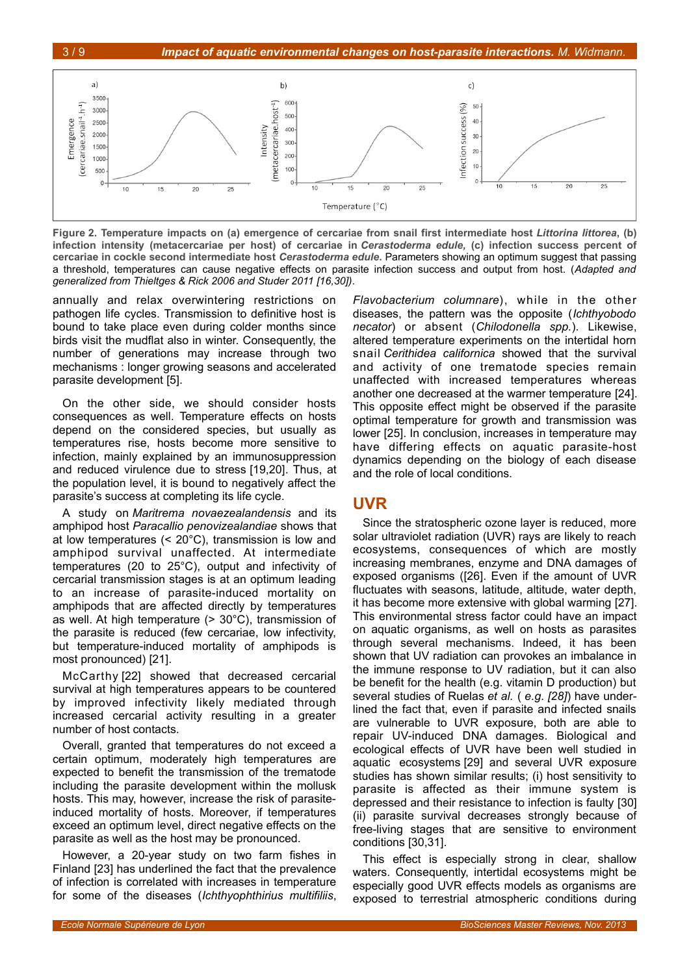

<span id="page-2-0"></span>**Figure 2. Temperature impacts on (a) emergence of cercariae from snail first intermediate host** *Littorina littorea***, (b) infection intensity (metacercariae per host) of cercariae in** *Cerastoderma edule,* **(c) infection success percent of cercariae in cockle second intermediate host** *Cerastoderma edule***.** Parameters showing an optimum suggest that passing a threshold, temperatures can cause negative effects on parasite infection success and output from host. (*Adapted and generalized from Thieltges & Rick 2006 and Studer 2011 [16,30])*.

annually and relax overwintering restrictions on pathogen life cycles. Transmission to definitive host is bound to take place even during colder months since birds visit the mudflat also in winter. Consequently, the number of generations may increase through two mechanisms : longer growing seasons and accelerated parasite development [5].

On the other side, we should consider hosts consequences as well. Temperature effects on hosts depend on the considered species, but usually as temperatures rise, hosts become more sensitive to infection, mainly explained by an immunosuppression and reduced virulence due to stress [19,20]. Thus, at the population level, it is bound to negatively affect the parasite's success at completing its life cycle.

A study on *Maritrema novaezealandensis* and its amphipod host *Paracallio penovizealandiae* shows that at low temperatures (< 20°C), transmission is low and amphipod survival unaffected. At intermediate temperatures (20 to 25°C), output and infectivity of cercarial transmission stages is at an optimum leading to an increase of parasite-induced mortality on amphipods that are affected directly by temperatures as well. At high temperature  $(> 30^{\circ}C)$ , transmission of the parasite is reduced (few cercariae, low infectivity, but temperature-induced mortality of amphipods is most pronounced) [21].

McCarthy [22] showed that decreased cercarial survival at high temperatures appears to be countered by improved infectivity likely mediated through increased cercarial activity resulting in a greater number of host contacts.

Overall, granted that temperatures do not exceed a certain optimum, moderately high temperatures are expected to benefit the transmission of the trematode including the parasite development within the mollusk hosts. This may, however, increase the risk of parasiteinduced mortality of hosts. Moreover, if temperatures exceed an optimum level, direct negative effects on the parasite as well as the host may be pronounced.

However, a 20-year study on two farm fishes in Finland [23] has underlined the fact that the prevalence of infection is correlated with increases in temperature for some of the diseases (*Ichthyophthirius multifiliis*,

*Flavobacterium columnare*), while in the other diseases, the pattern was the opposite (*Ichthyobodo necator*) or absent (*Chilodonella spp.*). Likewise, altered temperature experiments on the intertidal horn snail *Cerithidea californica* showed that the survival and activity of one trematode species remain unaffected with increased temperatures whereas another one decreased at the warmer temperature [24]. This opposite effect might be observed if the parasite optimal temperature for growth and transmission was lower [25]. In conclusion, increases in temperature may have differing effects on aquatic parasite-host dynamics depending on the biology of each disease and the role of local conditions.

# **UVR**

Since the stratospheric ozone layer is reduced, more solar ultraviolet radiation (UVR) rays are likely to reach ecosystems, consequences of which are mostly increasing membranes, enzyme and DNA damages of exposed organisms ([26]. Even if the amount of UVR fluctuates with seasons, latitude, altitude, water depth, it has become more extensive with global warming [27]. This environmental stress factor could have an impact on aquatic organisms, as well on hosts as parasites through several mechanisms. Indeed, it has been shown that UV radiation can provokes an imbalance in the immune response to UV radiation, but it can also be benefit for the health (e.g. vitamin D production) but several studies of Ruelas *et al.* ( *e.g. [28]*) have underlined the fact that, even if parasite and infected snails are vulnerable to UVR exposure, both are able to repair UV-induced DNA damages. Biological and ecological effects of UVR have been well studied in aquatic ecosystems [29] and several UVR exposure studies has shown similar results; (i) host sensitivity to parasite is affected as their immune system is depressed and their resistance to infection is faulty [30] (ii) parasite survival decreases strongly because of free-living stages that are sensitive to environment conditions [30,31].

This effect is especially strong in clear, shallow waters. Consequently, intertidal ecosystems might be especially good UVR effects models as organisms are exposed to terrestrial atmospheric conditions during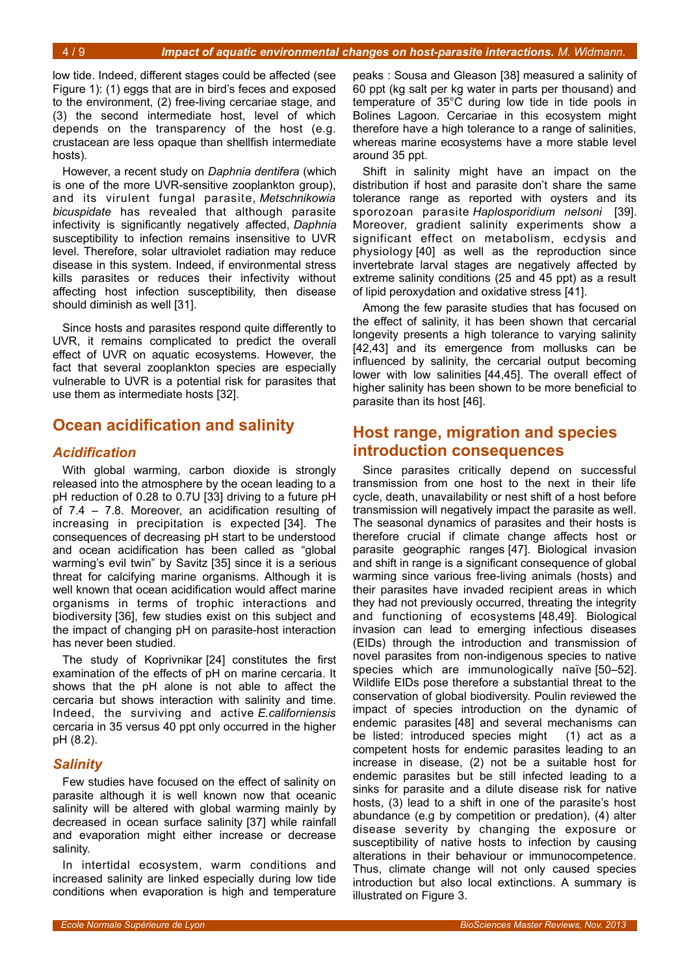low tide. Indeed, different stages could be affected (see Figure [1\)](#page-1-0): (1) eggs that are in bird's feces and exposed to the environment, (2) free-living cercariae stage, and (3) the second intermediate host, level of which depends on the transparency of the host (e.g. crustacean are less opaque than shellfish intermediate hosts).

However, a recent study on *Daphnia dentifera* (which is one of the more UVR-sensitive zooplankton group), and its virulent fungal parasite, *Metschnikowia bicuspidate* has revealed that although parasite infectivity is significantly negatively affected, *Daphnia* susceptibility to infection remains insensitive to UVR level. Therefore, solar ultraviolet radiation may reduce disease in this system. Indeed, if environmental stress kills parasites or reduces their infectivity without affecting host infection susceptibility, then disease should diminish as well [31].

Since hosts and parasites respond quite differently to UVR, it remains complicated to predict the overall effect of UVR on aquatic ecosystems. However, the fact that several zooplankton species are especially vulnerable to UVR is a potential risk for parasites that use them as intermediate hosts [32].

# **Ocean acidification and salinity**

# *Acidification*

With global warming, carbon dioxide is strongly released into the atmosphere by the ocean leading to a pH reduction of 0.28 to 0.7U [33] driving to a future pH of 7.4 – 7.8. Moreover, an acidification resulting of increasing in precipitation is expected [34]. The consequences of decreasing pH start to be understood and ocean acidification has been called as "global warming's evil twin" by Savitz [35] since it is a serious threat for calcifying marine organisms. Although it is well known that ocean acidification would affect marine organisms in terms of trophic interactions and biodiversity [36], few studies exist on this subject and the impact of changing pH on parasite-host interaction has never been studied.

The study of Koprivnikar [24] constitutes the first examination of the effects of pH on marine cercaria. It shows that the pH alone is not able to affect the cercaria but shows interaction with salinity and time. Indeed, the surviving and active *E.californiensis* cercaria in 35 versus 40 ppt only occurred in the higher pH (8.2).

### *Salinity*

Few studies have focused on the effect of salinity on parasite although it is well known now that oceanic salinity will be altered with global warming mainly by decreased in ocean surface salinity [37] while rainfall and evaporation might either increase or decrease salinity.

In intertidal ecosystem, warm conditions and increased salinity are linked especially during low tide conditions when evaporation is high and temperature

peaks : Sousa and Gleason [38] measured a salinity of 60 ppt (kg salt per kg water in parts per thousand) and temperature of 35°C during low tide in tide pools in Bolines Lagoon. Cercariae in this ecosystem might therefore have a high tolerance to a range of salinities, whereas marine ecosystems have a more stable level around 35 ppt.

Shift in salinity might have an impact on the distribution if host and parasite don't share the same tolerance range as reported with oysters and its sporozoan parasite *Haplosporidium nelsoni* [39]. Moreover, gradient salinity experiments show a significant effect on metabolism, ecdysis and physiology [40] as well as the reproduction since invertebrate larval stages are negatively affected by extreme salinity conditions (25 and 45 ppt) as a result of lipid peroxydation and oxidative stress [41].

Among the few parasite studies that has focused on the effect of salinity, it has been shown that cercarial longevity presents a high tolerance to varying salinity [42,43] and its emergence from mollusks can be influenced by salinity, the cercarial output becoming lower with low salinities [44,45]. The overall effect of higher salinity has been shown to be more beneficial to parasite than its host [46].

# **Host range, migration and species introduction consequences**

Since parasites critically depend on successful transmission from one host to the next in their life cycle, death, unavailability or nest shift of a host before transmission will negatively impact the parasite as well. The seasonal dynamics of parasites and their hosts is therefore crucial if climate change affects host or parasite geographic ranges [47]. Biological invasion and shift in range is a significant consequence of global warming since various free-living animals (hosts) and their parasites have invaded recipient areas in which they had not previously occurred, threating the integrity and functioning of ecosystems [48,49]. Biological invasion can lead to emerging infectious diseases (EIDs) through the introduction and transmission of novel parasites from non-indigenous species to native species which are immunologically naïve [50–52]. Wildlife EIDs pose therefore a substantial threat to the conservation of global biodiversity. Poulin reviewed the impact of species introduction on the dynamic of endemic parasites [48] and several mechanisms can be listed: introduced species might (1) act as a competent hosts for endemic parasites leading to an increase in disease, (2) not be a suitable host for endemic parasites but be still infected leading to a sinks for parasite and a dilute disease risk for native hosts, (3) lead to a shift in one of the parasite's host abundance (e.g by competition or predation), (4) alter disease severity by changing the exposure or susceptibility of native hosts to infection by causing alterations in their behaviour or immunocompetence. Thus, climate change will not only caused species introduction but also local extinctions. A summary is illustrated on Figure [3.](#page-4-0)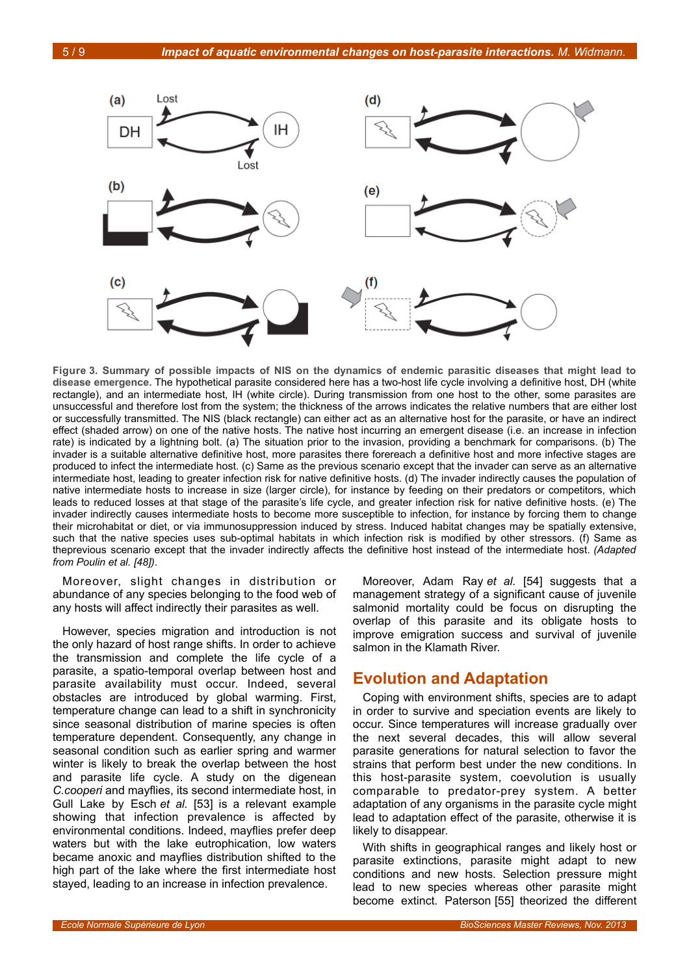

<span id="page-4-0"></span>**Figure 3. Summary of possible impacts of NIS on the dynamics of endemic parasitic diseases that might lead to disease emergence.** The hypothetical parasite considered here has a two-host life cycle involving a definitive host, DH (white rectangle), and an intermediate host, IH (white circle). During transmission from one host to the other, some parasites are unsuccessful and therefore lost from the system; the thickness of the arrows indicates the relative numbers that are either lost or successfully transmitted. The NIS (black rectangle) can either act as an alternative host for the parasite, or have an indirect effect (shaded arrow) on one of the native hosts. The native host incurring an emergent disease (i.e. an increase in infection rate) is indicated by a lightning bolt. (a) The situation prior to the invasion, providing a benchmark for comparisons. (b) The invader is a suitable alternative definitive host, more parasites there forereach a definitive host and more infective stages are produced to infect the intermediate host. (c) Same as the previous scenario except that the invader can serve as an alternative intermediate host, leading to greater infection risk for native definitive hosts. (d) The invader indirectly causes the population of native intermediate hosts to increase in size (larger circle), for instance by feeding on their predators or competitors, which leads to reduced losses at that stage of the parasite's life cycle, and greater infection risk for native definitive hosts. (e) The invader indirectly causes intermediate hosts to become more susceptible to infection, for instance by forcing them to change their microhabitat or diet, or via immunosuppression induced by stress. Induced habitat changes may be spatially extensive, such that the native species uses sub-optimal habitats in which infection risk is modified by other stressors. (f) Same as theprevious scenario except that the invader indirectly affects the definitive host instead of the intermediate host. *(Adapted from Poulin et al. [48])*.

Moreover, slight changes in distribution or abundance of any species belonging to the food web of any hosts will affect indirectly their parasites as well.

However, species migration and introduction is not the only hazard of host range shifts. In order to achieve the transmission and complete the life cycle of a parasite, a spatio-temporal overlap between host and parasite availability must occur. Indeed, several obstacles are introduced by global warming. First, temperature change can lead to a shift in synchronicity since seasonal distribution of marine species is often temperature dependent. Consequently, any change in seasonal condition such as earlier spring and warmer winter is likely to break the overlap between the host and parasite life cycle. A study on the digenean *C.cooperi* and mayflies, its second intermediate host, in Gull Lake by Esch *et al.* [53] is a relevant example showing that infection prevalence is affected by environmental conditions. Indeed, mayflies prefer deep waters but with the lake eutrophication, low waters became anoxic and mayflies distribution shifted to the high part of the lake where the first intermediate host stayed, leading to an increase in infection prevalence.

Moreover, Adam Ray *et al.* [54] suggests that a management strategy of a significant cause of juvenile salmonid mortality could be focus on disrupting the overlap of this parasite and its obligate hosts to improve emigration success and survival of juvenile salmon in the Klamath River.

# **Evolution and Adaptation**

Coping with environment shifts, species are to adapt in order to survive and speciation events are likely to occur. Since temperatures will increase gradually over the next several decades, this will allow several parasite generations for natural selection to favor the strains that perform best under the new conditions. In this host-parasite system, coevolution is usually comparable to predator-prey system. A better adaptation of any organisms in the parasite cycle might lead to adaptation effect of the parasite, otherwise it is likely to disappear.

With shifts in geographical ranges and likely host or parasite extinctions, parasite might adapt to new conditions and new hosts. Selection pressure might lead to new species whereas other parasite might become extinct. Paterson [55] theorized the different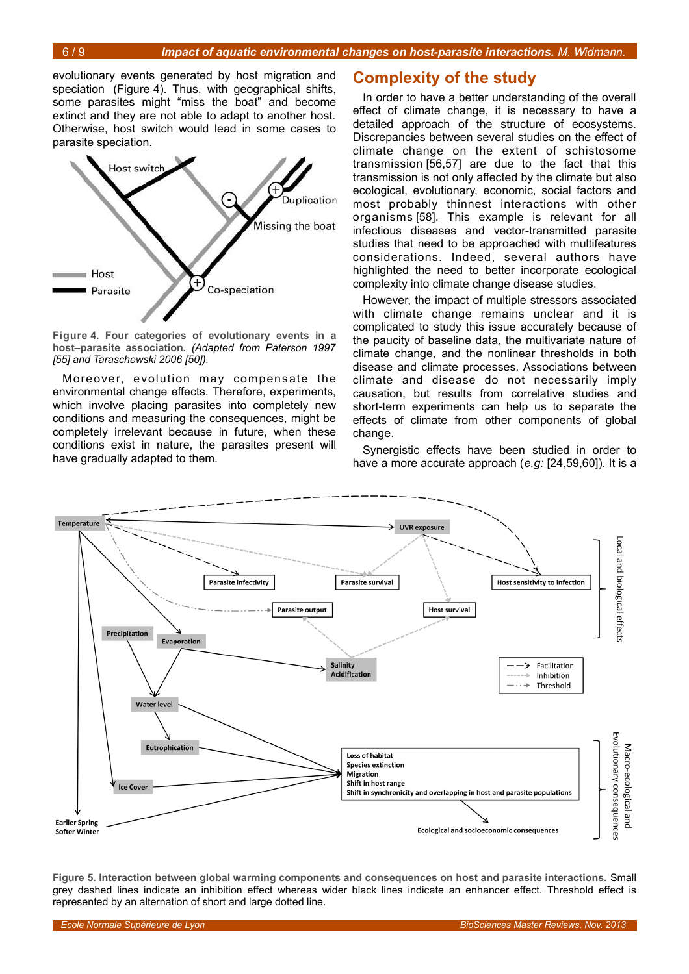6 / 9 *Impact of aquatic environmental changes on host-parasite interactions. M. Widmann.*

evolutionary events generated by host migration and speciation (Figure [4\)](#page-5-0). Thus, with geographical shifts, some parasites might "miss the boat" and become extinct and they are not able to adapt to another host. Otherwise, host switch would lead in some cases to parasite speciation.



<span id="page-5-0"></span>**Figure 4. Four categories of evolutionary events in a host–parasite association.** *(Adapted from Paterson 1997 [55] and Taraschewski 2006 [50]).*

Moreover, evolution may compensate the environmental change effects. Therefore, experiments, which involve placing parasites into completely new conditions and measuring the consequences, might be completely irrelevant because in future, when these conditions exist in nature, the parasites present will have gradually adapted to them.

# **Complexity of the study**

In order to have a better understanding of the overall effect of climate change, it is necessary to have a detailed approach of the structure of ecosystems. Discrepancies between several studies on the effect of climate change on the extent of schistosome transmission [56,57] are due to the fact that this transmission is not only affected by the climate but also ecological, evolutionary, economic, social factors and most probably thinnest interactions with other organisms [58]. This example is relevant for all infectious diseases and vector-transmitted parasite studies that need to be approached with multifeatures considerations. Indeed, several authors have highlighted the need to better incorporate ecological complexity into climate change disease studies.

However, the impact of multiple stressors associated with climate change remains unclear and it is complicated to study this issue accurately because of the paucity of baseline data, the multivariate nature of climate change, and the nonlinear thresholds in both disease and climate processes. Associations between climate and disease do not necessarily imply causation, but results from correlative studies and short-term experiments can help us to separate the effects of climate from other components of global change.

Synergistic effects have been studied in order to have a more accurate approach (*e.g:* [24,59,60]). It is a



<span id="page-5-1"></span>**Figure 5. Interaction between global warming components and consequences on host and parasite interactions.** Small grey dashed lines indicate an inhibition effect whereas wider black lines indicate an enhancer effect. Threshold effect is represented by an alternation of short and large dotted line.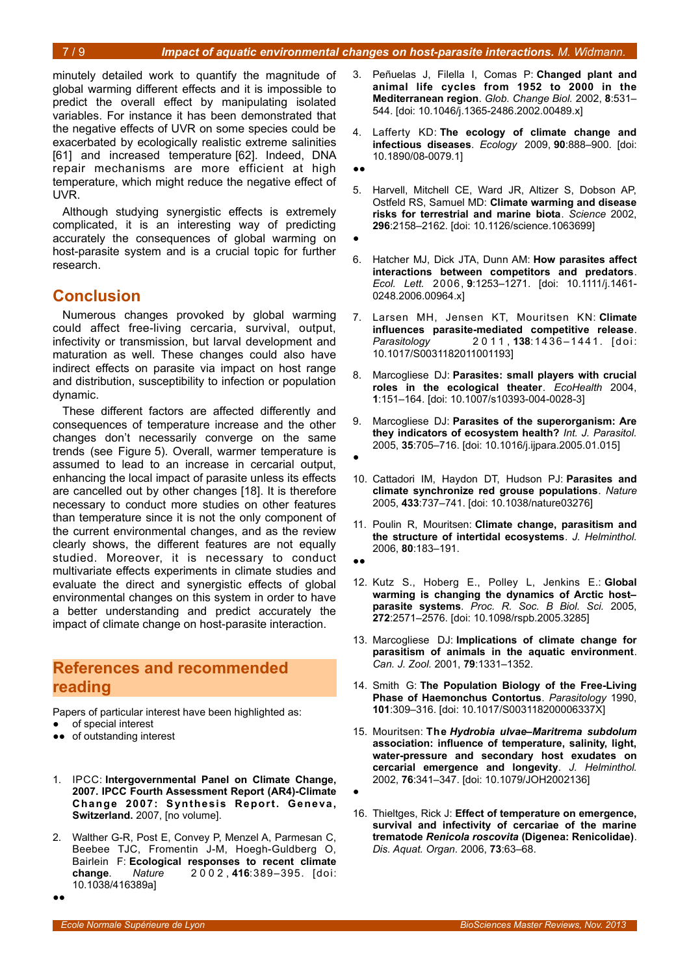minutely detailed work to quantify the magnitude of global warming different effects and it is impossible to predict the overall effect by manipulating isolated variables. For instance it has been demonstrated that the negative effects of UVR on some species could be exacerbated by ecologically realistic extreme salinities [61] and increased temperature [62]. Indeed, DNA repair mechanisms are more efficient at high temperature, which might reduce the negative effect of UVR.

Although studying synergistic effects is extremely complicated, it is an interesting way of predicting accurately the consequences of global warming on host-parasite system and is a crucial topic for further research.

# **Conclusion**

Numerous changes provoked by global warming could affect free-living cercaria, survival, output, infectivity or transmission, but larval development and maturation as well. These changes could also have indirect effects on parasite via impact on host range and distribution, susceptibility to infection or population dynamic.

These different factors are affected differently and consequences of temperature increase and the other changes don't necessarily converge on the same trends (see Figure [5\)](#page-5-1). Overall, warmer temperature is assumed to lead to an increase in cercarial output, enhancing the local impact of parasite unless its effects are cancelled out by other changes [18]. It is therefore necessary to conduct more studies on other features than temperature since it is not the only component of the current environmental changes, and as the review clearly shows, the different features are not equally studied. Moreover, it is necessary to conduct multivariate effects experiments in climate studies and evaluate the direct and synergistic effects of global environmental changes on this system in order to have a better understanding and predict accurately the impact of climate change on host-parasite interaction.

# **References and recommended reading**

Papers of particular interest have been highlighted as:

- of special interest
- •• of outstanding interest
- 1. IPCC: **Intergovernmental Panel on Climate Change, 2007. IPCC Fourth Assessment Report (AR4)-Climate Change 2007: Synthesis Report. Geneva, Switzerland.** 2007, [no volume].
- 2. Walther G-R, Post E, Convey P, Menzel A, Parmesan C, Beebee TJC, Fromentin J-M, Hoegh-Guldberg O, Bairlein F: **Ecological responses to recent climate change**. *Nature* 2 0 0 2 , **416**:389–395. [doi: 10.1038/416389a]
- 3. Peñuelas J, Filella I, Comas P: **Changed plant and animal life cycles from 1952 to 2000 in the Mediterranean region**. *Glob. Change Biol.* 2002, **8**:531– 544. [doi: 10.1046/j.1365-2486.2002.00489.x]
- 4. Lafferty KD: **The ecology of climate change and infectious diseases**. *Ecology* 2009, **90**:888–900. [doi: 10.1890/08-0079.1]

●●

- 5. Harvell, Mitchell CE, Ward JR, Altizer S, Dobson AP, Ostfeld RS, Samuel MD: **Climate warming and disease risks for terrestrial and marine biota**. *Science* 2002, **296**:2158–2162. [doi: 10.1126/science.1063699]
- ●
- 6. Hatcher MJ, Dick JTA, Dunn AM: **How parasites affect interactions between competitors and predators**. *Ecol. Lett.* 2006, **9**:1253–1271. [doi: 10.1111/j.1461- 0248.2006.00964.x]
- 7. Larsen MH, Jensen KT, Mouritsen KN: **Climate influences parasite-mediated competitive release**. *Parasitology* 2 0 1 1 , **138**:14 36 –1 44 1. [d oi: 10.1017/S0031182011001193]
- 8. Marcogliese DJ: **Parasites: small players with crucial roles in the ecological theater**. *EcoHealth* 2004, **1**:151–164. [doi: 10.1007/s10393-004-0028-3]
- 9. Marcogliese DJ: **Parasites of the superorganism: Are they indicators of ecosystem health?** *Int. J. Parasitol.* 2005, **35**:705–716. [doi: 10.1016/j.ijpara.2005.01.015]
- ●
- 10. Cattadori IM, Haydon DT, Hudson PJ: **Parasites and climate synchronize red grouse populations**. *Nature* 2005, **433**:737–741. [doi: 10.1038/nature03276]
- 11. Poulin R, Mouritsen: **Climate change, parasitism and the structure of intertidal ecosystems**. *J. Helminthol.* 2006, **80**:183–191.
- ●●
- 12. Kutz S., Hoberg E., Polley L, Jenkins E.: **Global warming is changing the dynamics of Arctic host– parasite systems**. *Proc. R. Soc. B Biol. Sci.* 2005, **272**:2571–2576. [doi: 10.1098/rspb.2005.3285]
- 13. Marcogliese DJ: **Implications of climate change for parasitism of animals in the aquatic environment**. *Can. J. Zool.* 2001, **79**:1331–1352.
- 14. Smith G: **The Population Biology of the Free-Living Phase of Haemonchus Contortus**. *Parasitology* 1990, **101**:309–316. [doi: 10.1017/S003118200006337X]
- 15. Mouritsen: **The** *Hydrobia ulvae–Maritrema subdolum* **association: influence of temperature, salinity, light, water-pressure and secondary host exudates on cercarial emergence and longevity**. *J. Helminthol.* 2002, **76**:341–347. [doi: 10.1079/JOH2002136]
- ●
- 16. Thieltges, Rick J: **Effect of temperature on emergence, survival and infectivity of cercariae of the marine trematode** *Renicola roscovita* **(Digenea: Renicolidae)**. *Dis. Aquat. Organ.* 2006, **73**:63–68.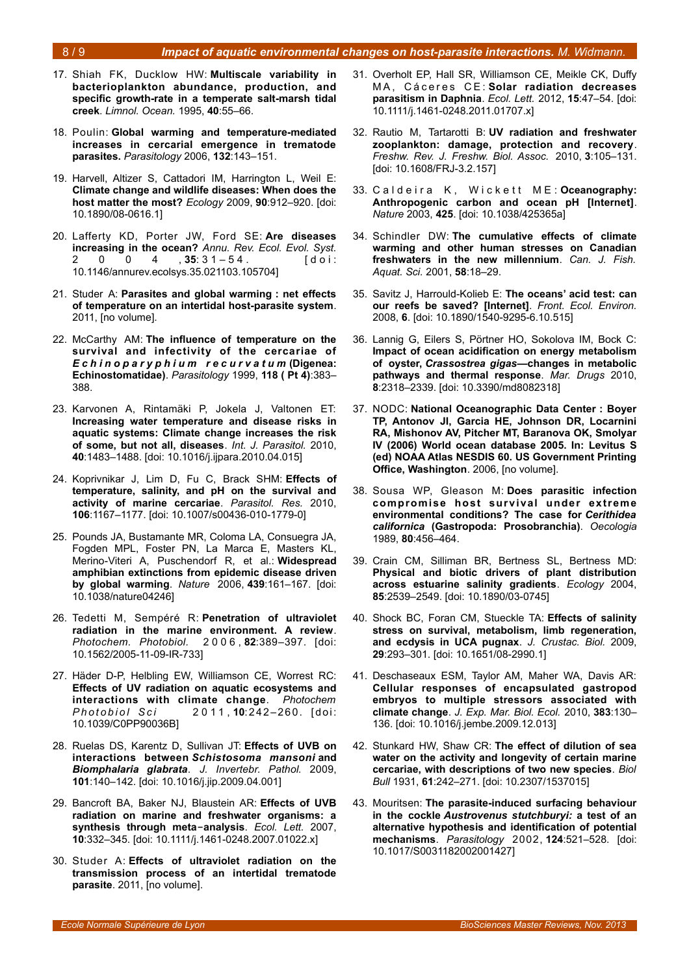#### 8 / 9 *Impact of aquatic environmental changes on host-parasite interactions. M. Widmann.*

- 17. Shiah FK, Ducklow HW: **Multiscale variability in bacterioplankton abundance, production, and specific growth-rate in a temperate salt-marsh tidal creek**. *Limnol. Ocean.* 1995, **40**:55–66.
- 18. Poulin: **Global warming and temperature-mediated increases in cercarial emergence in trematode parasites.** *Parasitology* 2006, **132**:143–151.
- 19. Harvell, Altizer S, Cattadori IM, Harrington L, Weil E: **Climate change and wildlife diseases: When does the host matter the most?** *Ecology* 2009, **90**:912–920. [doi: 10.1890/08-0616.1]
- 20. Lafferty KD, Porter JW, Ford SE: **Are diseases increasing in the ocean?** *Annu. Rev. Ecol. Evol. Syst.* 2 0 0 4 , **35**: 31 – 54. [doi: 10.1146/annurev.ecolsys.35.021103.105704]
- 21. Studer A: **Parasites and global warming : net effects of temperature on an intertidal host-parasite system**. 2011, [no volume].
- 22. McCarthy AM: **The influence of temperature on the survival and infectivity of the cercariae of** *E c h i n o p a r y p h i u m r e c u r v a t u m* **(Digenea: Echinostomatidae)**. *Parasitology* 1999, **118 ( Pt 4)**:383– 388.
- 23. Karvonen A, Rintamäki P, Jokela J, Valtonen ET: **Increasing water temperature and disease risks in aquatic systems: Climate change increases the risk of some, but not all, diseases**. *Int. J. Parasitol.* 2010, **40**:1483–1488. [doi: 10.1016/j.ijpara.2010.04.015]
- 24. Koprivnikar J, Lim D, Fu C, Brack SHM: **Effects of temperature, salinity, and pH on the survival and activity of marine cercariae**. *Parasitol. Res.* 2010, **106**:1167–1177. [doi: 10.1007/s00436-010-1779-0]
- 25. Pounds JA, Bustamante MR, Coloma LA, Consuegra JA, Fogden MPL, Foster PN, La Marca E, Masters KL, Merino-Viteri A, Puschendorf R, et al.: **Widespread amphibian extinctions from epidemic disease driven by global warming**. *Nature* 2006, **439**:161–167. [doi: 10.1038/nature04246]
- 26. Tedetti M, Sempéré R: **Penetration of ultraviolet radiation in the marine environment. A review**. *Photochem. Photobiol.* 2 0 0 6 , **82**:389–397. [doi: 10.1562/2005-11-09-IR-733]
- 27. Häder D-P, Helbling EW, Williamson CE, Worrest RC: **Effects of UV radiation on aquatic ecosystems and interactions with climate change**. *Photochem P h o t o b i o l S c i* 2 0 1 1 , **10**:242 –26 0. [ doi: 10.1039/C0PP90036B]
- 28. Ruelas DS, Karentz D, Sullivan JT: **Effects of UVB on interactions between** *Schistosoma mansoni* **and** *Biomphalaria glabrata*. *J. Invertebr. Pathol.* 2009, **101**:140–142. [doi: 10.1016/j.jip.2009.04.001]
- 29. Bancroft BA, Baker NJ, Blaustein AR: **Effects of UVB radiation on marine and freshwater organisms: a synthesis through meta‐analysis**. *Ecol. Lett.* 2007, **10**:332–345. [doi: 10.1111/j.1461-0248.2007.01022.x]
- 30. Studer A: **Effects of ultraviolet radiation on the transmission process of an intertidal trematode parasite**. 2011, [no volume].
- 31. Overholt EP, Hall SR, Williamson CE, Meikle CK, Duffy MA, Cáceres CE: Solar radiation decreases **parasitism in Daphnia**. *Ecol. Lett.* 2012, **15**:47–54. [doi: 10.1111/j.1461-0248.2011.01707.x]
- 32. Rautio M, Tartarotti B: **UV radiation and freshwater zooplankton: damage, protection and recovery**. *Freshw. Rev. J. Freshw. Biol. Assoc.* 2010, **3**:105–131. [doi: 10.1608/FRJ-3.2.157]
- 33. Caldeira K, Wickett ME: Oceanography: **Anthropogenic carbon and ocean pH [Internet]**. *Nature* 2003, **425**. [doi: 10.1038/425365a]
- 34. Schindler DW: **The cumulative effects of climate warming and other human stresses on Canadian freshwaters in the new millennium**. *Can. J. Fish. Aquat. Sci.* 2001, **58**:18–29.
- 35. Savitz J, Harrould-Kolieb E: **The oceans' acid test: can our reefs be saved? [Internet]**. *Front. Ecol. Environ.* 2008, **6**. [doi: 10.1890/1540-9295-6.10.515]
- 36. Lannig G, Eilers S, Pörtner HO, Sokolova IM, Bock C: **Impact of ocean acidification on energy metabolism of oyster,** *Crassostrea gigas***—changes in metabolic pathways and thermal response**. *Mar. Drugs* 2010, **8**:2318–2339. [doi: 10.3390/md8082318]
- 37. NODC: **National Oceanographic Data Center : Boyer TP, Antonov JI, Garcia HE, Johnson DR, Locarnini RA, Mishonov AV, Pitcher MT, Baranova OK, Smolyar IV (2006) World ocean database 2005. In: Levitus S (ed) NOAA Atlas NESDIS 60. US Government Printing Office, Washington**. 2006, [no volume].
- 38. Sousa WP, Gleason M: **Does parasitic infection compromise host survival under extreme environmental conditions? The case for** *Cerithidea californica* **(Gastropoda: Prosobranchia)**. *Oecologia* 1989, **80**:456–464.
- 39. Crain CM, Silliman BR, Bertness SL, Bertness MD: **Physical and biotic drivers of plant distribution across estuarine salinity gradients**. *Ecology* 2004, **85**:2539–2549. [doi: 10.1890/03-0745]
- 40. Shock BC, Foran CM, Stueckle TA: **Effects of salinity stress on survival, metabolism, limb regeneration, and ecdysis in UCA pugnax**. *J. Crustac. Biol.* 2009, **29**:293–301. [doi: 10.1651/08-2990.1]
- 41. Deschaseaux ESM, Taylor AM, Maher WA, Davis AR: **Cellular responses of encapsulated gastropod embryos to multiple stressors associated with climate change**. *J. Exp. Mar. Biol. Ecol.* 2010, **383**:130– 136. [doi: 10.1016/j.jembe.2009.12.013]
- 42. Stunkard HW, Shaw CR: **The effect of dilution of sea water on the activity and longevity of certain marine cercariae, with descriptions of two new species**. *Biol Bull* 1931, **61**:242–271. [doi: 10.2307/1537015]
- 43. Mouritsen: **The parasite-induced surfacing behaviour in the cockle** *Austrovenus stutchburyi:* **a test of an alternative hypothesis and identification of potential mechanisms**. *Parasitology* 2002, **124**:521–528. [doi: 10.1017/S0031182002001427]